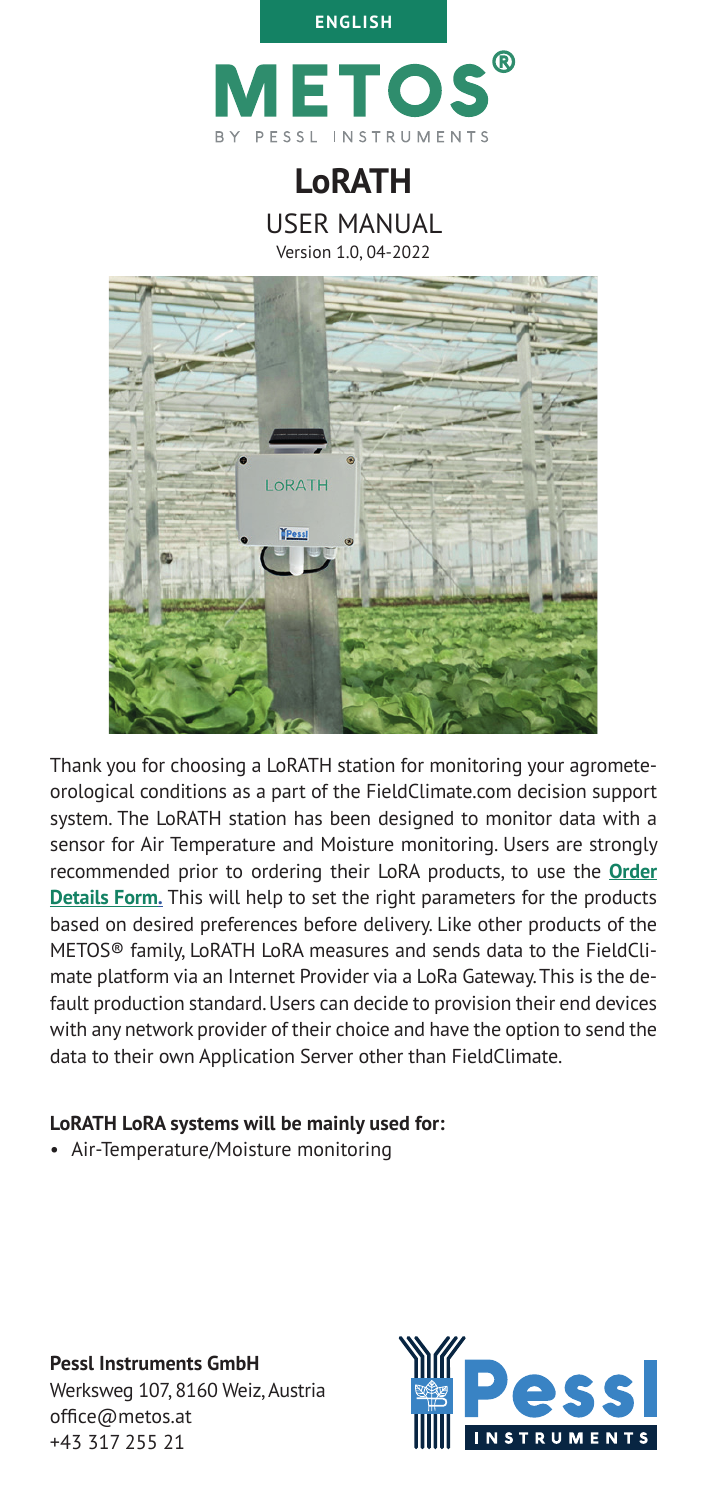

**LoRATH**

USER MANUAL

Version 1.0, 04-2022



Thank you for choosing a LoRATH station for monitoring your agrometeorological conditions as a part of the FieldClimate.com decision support system. The LoRATH station has been designed to monitor data with a sensor for Air Temperature and Moisture monitoring. Users are strongly recommended prior to ordering their LoRA products, to use the **[Order](https://docs.google.com/document/d/1SvgdzoUUCQAfmMKipojyma2mL68cqh3L/edit?usp=sharing&ouid=105456794135299382750&rtpof=true&sd=true)  [Details Form.](https://docs.google.com/document/d/1SvgdzoUUCQAfmMKipojyma2mL68cqh3L/edit?usp=sharing&ouid=105456794135299382750&rtpof=true&sd=true)** This will help to set the right parameters for the products based on desired preferences before delivery. Like other products of the METOS® family, LoRATH LoRA measures and sends data to the FieldClimate platform via an Internet Provider via a LoRa Gateway. This is the default production standard. Users can decide to provision their end devices with any network provider of their choice and have the option to send the data to their own Application Server other than FieldClimate.

### **LoRATH LoRA systems will be mainly used for:**

• Air-Temperature/Moisture monitoring

**Pessl Instruments GmbH** Werksweg 107, 8160 Weiz, Austria office@metos.at +43 317 255 21

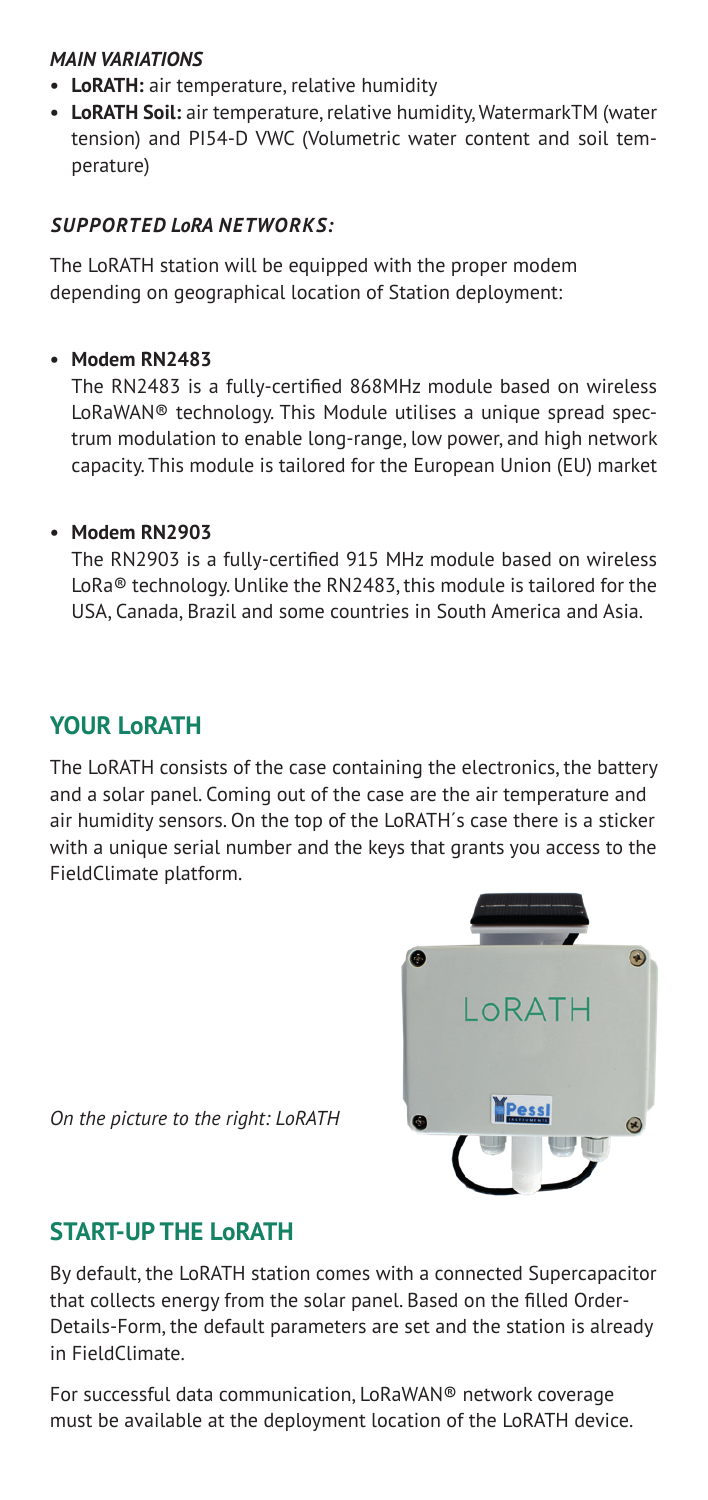### *MAIN VARIATIONS*

- **• LoRATH:** air temperature, relative humidity
- **• LoRATH Soil:** air temperature, relative humidity, WatermarkTM (water tension) and PI54-D VWC (Volumetric water content and soil temperature)

### *SUPPORTED LoRA NETWORKS:*

The LoRATH station will be equipped with the proper modem depending on geographical location of Station deployment:

### **• Modem RN2483**

The RN2483 is a fully-certified 868MHz module based on wireless LoRaWAN® technology. This Module utilises a unique spread spectrum modulation to enable long-range, low power, and high network capacity. This module is tailored for the European Union (EU) market

### **• Modem RN2903**

The RN2903 is a fully-certified 915 MHz module based on wireless LoRa® technology. Unlike the RN2483, this module is tailored for the USA, Canada, Brazil and some countries in South America and Asia.

# **YOUR LoRATH**

The LoRATH consists of the case containing the electronics, the battery and a solar panel. Coming out of the case are the air temperature and air humidity sensors. On the top of the LoRATH´s case there is a sticker with a unique serial number and the keys that grants you access to the FieldClimate platform.



*On the picture to the right: LoRATH*

# **START-UP THE LoRATH**

By default, the LoRATH station comes with a connected Supercapacitor that collects energy from the solar panel. Based on the filled Order-Details-Form, the default parameters are set and the station is already in FieldClimate.

For successful data communication, LoRaWAN® network coverage must be available at the deployment location of the LoRATH device.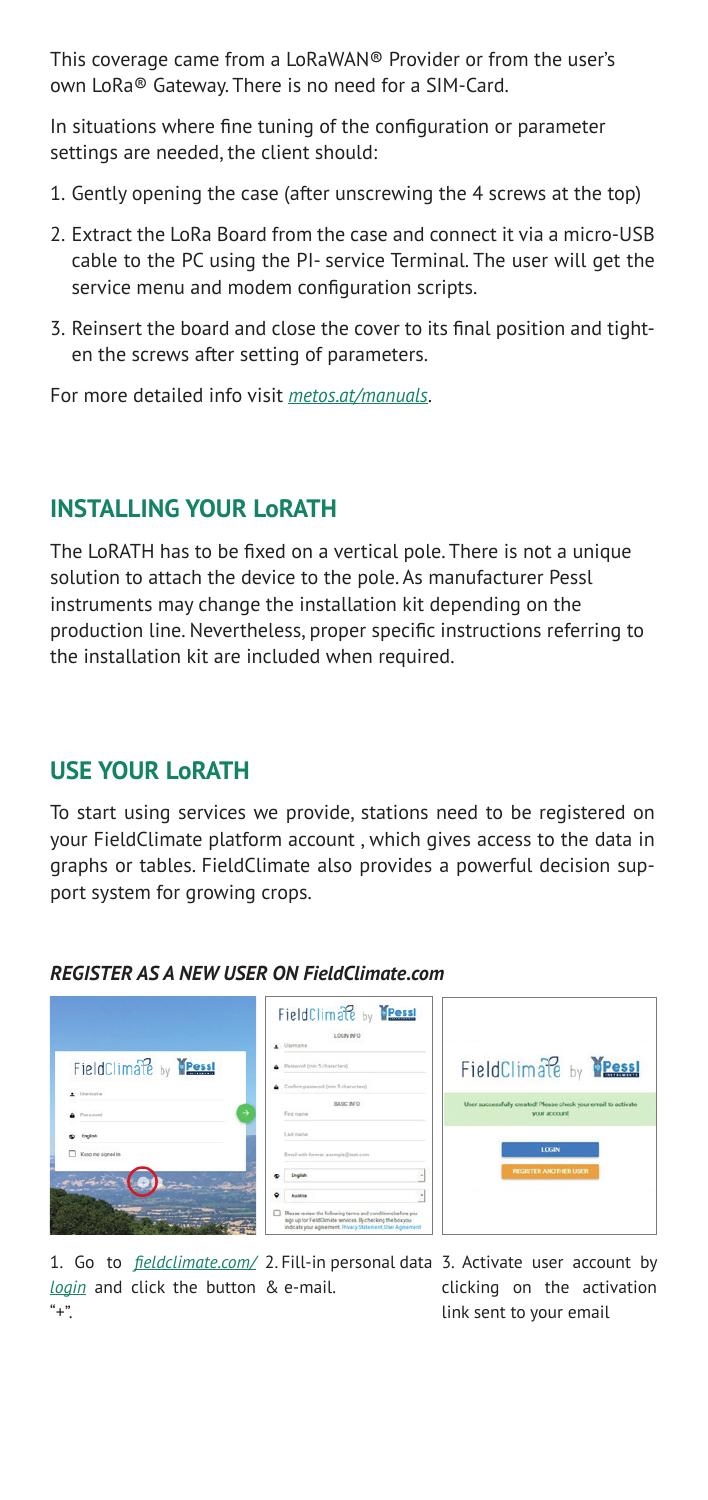This coverage came from a LoRaWAN® Provider or from the user's own LoRa® Gateway. There is no need for a SIM-Card.

In situations where fine tuning of the configuration or parameter settings are needed, the client should:

- 1. Gently opening the case (after unscrewing the 4 screws at the top)
- 2. Extract the LoRa Board from the case and connect it via a micro-USB cable to the PC using the PI- service Terminal. The user will get the service menu and modem configuration scripts.
- 3. Reinsert the board and close the cover to its final position and tighten the screws after setting of parameters.

For more detailed info visit *[metos.at/manuals](https://metos.at/manuals/)*.

## **INSTALLING YOUR LoRATH**

The LoRATH has to be fixed on a vertical pole. There is not a unique solution to attach the device to the pole. As manufacturer Pessl instruments may change the installation kit depending on the production line. Nevertheless, proper specific instructions referring to the installation kit are included when required.

## **USE YOUR LoRATH**

To start using services we provide, stations need to be registered on your FieldClimate platform account , which gives access to the data in graphs or tables. FieldClimate also provides a powerful decision support system for growing crops.

### *REGISTER AS A NEW USER ON FieldClimate.com*



1. Go to *[fieldclimate.com/](https://fieldclimate.com/auth/login?returnUrl=%2Fdashboard)* 2. Fill-in personal data 3. Activate user account by *[login](https://fieldclimate.com/auth/login?returnUrl=%2Fdashboard)* and click the button & e-mail.  $"$ +".

clicking on the activation link sent to your email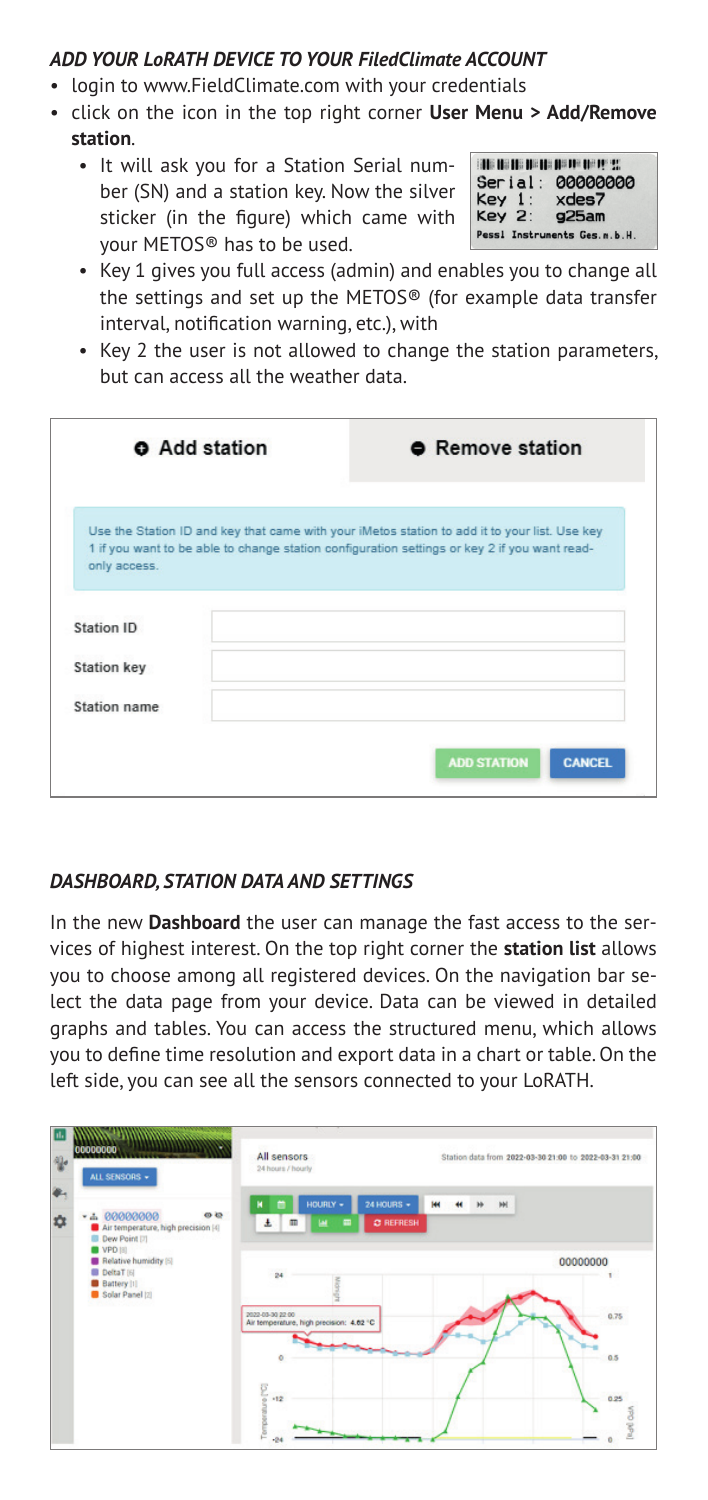### *ADD YOUR LoRATH DEVICE TO YOUR FiledClimate ACCOUNT*

- login to www.FieldClimate.com with your credentials
- click on the icon in the top right corner **User Menu > Add/Remove station**.
	- It will ask you for a Station Serial number (SN) and a station key. Now the silver sticker (in the figure) which came with your METOS® has to be used.

|        | Serial: 00000000 |
|--------|------------------|
| Key 1: | xdes7            |
|        |                  |
| Key 2: | 925am            |

- Key 1 gives you full access (admin) and enables you to change all the settings and set up the METOS® (for example data transfer interval, notification warning, etc.), with
- Key 2 the user is not allowed to change the station parameters, but can access all the weather data.

| <b>O</b> Add station | <b>•</b> Remove station                                                                                                                                                                       |
|----------------------|-----------------------------------------------------------------------------------------------------------------------------------------------------------------------------------------------|
|                      | Use the Station ID and key that came with your iMetos station to add it to your list. Use key<br>1 if you want to be able to change station configuration settings or key 2 if you want read- |
| only access.         |                                                                                                                                                                                               |
| Station ID           |                                                                                                                                                                                               |
| <b>Station key</b>   |                                                                                                                                                                                               |
| Station name         |                                                                                                                                                                                               |
|                      |                                                                                                                                                                                               |
|                      | <b>ADD STATION</b><br><b>CANCEL</b>                                                                                                                                                           |

### *DASHBOARD, STATION DATA AND SETTINGS*

In the new **Dashboard** the user can manage the fast access to the services of highest interest. On the top right corner the **station list** allows you to choose among all registered devices. On the navigation bar select the data page from your device. Data can be viewed in detailed graphs and tables. You can access the structured menu, which allows you to define time resolution and export data in a chart or table. On the left side, you can see all the sensors connected to your LoRATH.

| $\overline{\mathbf{u}}$<br>00000000<br>$\partial \mathbf{r}$<br>$\ddot{\bullet}$ | ALL SENSORS +                                                                               | All sensors<br>24 hours / hourly                                                                                                   | Station data from 2022-03-30 21:00 to 2022-03-31 21:00 |                                           |
|----------------------------------------------------------------------------------|---------------------------------------------------------------------------------------------|------------------------------------------------------------------------------------------------------------------------------------|--------------------------------------------------------|-------------------------------------------|
| $\ddot{\mathbf{z}}$                                                              | - 4 00000000<br>$\omega$<br>Air temperature, high precision [4]<br>Dew Point [7]<br>VPD [8] | 24 HOURS -<br>HOURLY +<br>ĸ<br>C REFRESH<br>$\pm$<br>ш<br>۰                                                                        | ж<br><b>M</b>                                          |                                           |
|                                                                                  | Relative humidity [5]<br>DeltaT [6]<br><b>Battery [1]</b><br>Solar Panel (2)                | $\overline{24}$<br>2022-03-30 22:00<br>Air temperature, high precision: 4.62 °C<br>$\circ$<br><b>Collor</b><br>$+12$<br>ĕ<br>$-24$ |                                                        | 00000000<br>0.75<br>0.5<br>0.25<br>[Ropt] |